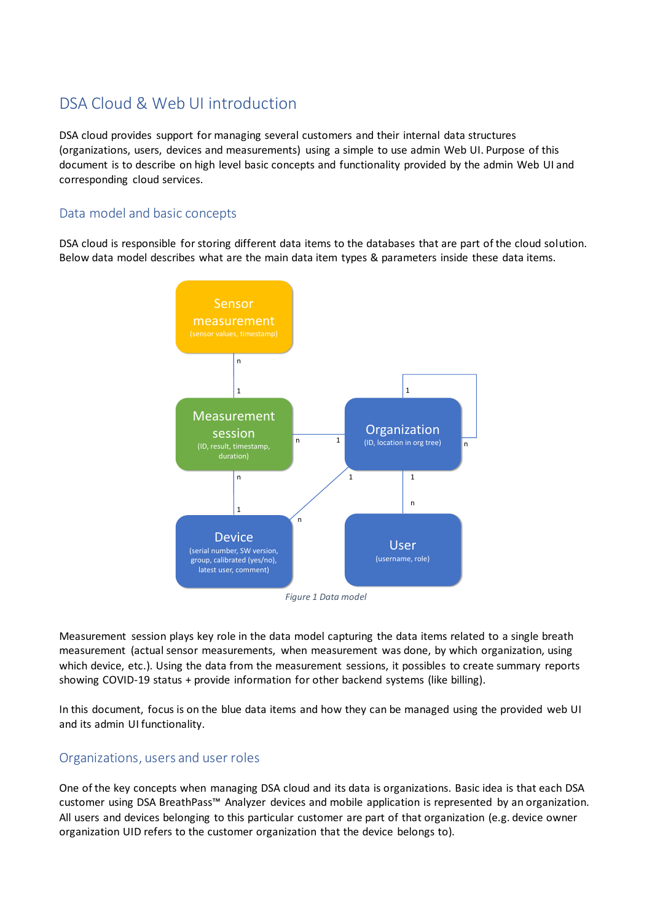# DSA Cloud & Web UI introduction

DSA cloud provides support for managing several customers and their internal data structures (organizations, users, devices and measurements) using a simple to use admin Web UI. Purpose of this document is to describe on high level basic concepts and functionality provided by the admin Web UI and corresponding cloud services.

#### Data model and basic concepts

DSA cloud is responsible for storing different data items to the databases that are part of the cloud solution. Below data model describes what are the main data item types & parameters inside these data items.



*Figure 1 Data model*

Measurement session plays key role in the data model capturing the data items related to a single breath measurement (actual sensor measurements, when measurement was done, by which organization, using which device, etc.). Using the data from the measurement sessions, it possibles to create summary reports showing COVID-19 status + provide information for other backend systems (like billing).

In this document, focus is on the blue data items and how they can be managed using the provided web UI and its admin UI functionality.

## Organizations, users and user roles

One of the key concepts when managing DSA cloud and its data is organizations. Basic idea is that each DSA customer using DSA BreathPass™ Analyzer devices and mobile application is represented by an organization. All users and devices belonging to this particular customer are part of that organization (e.g. device owner organization UID refers to the customer organization that the device belongs to).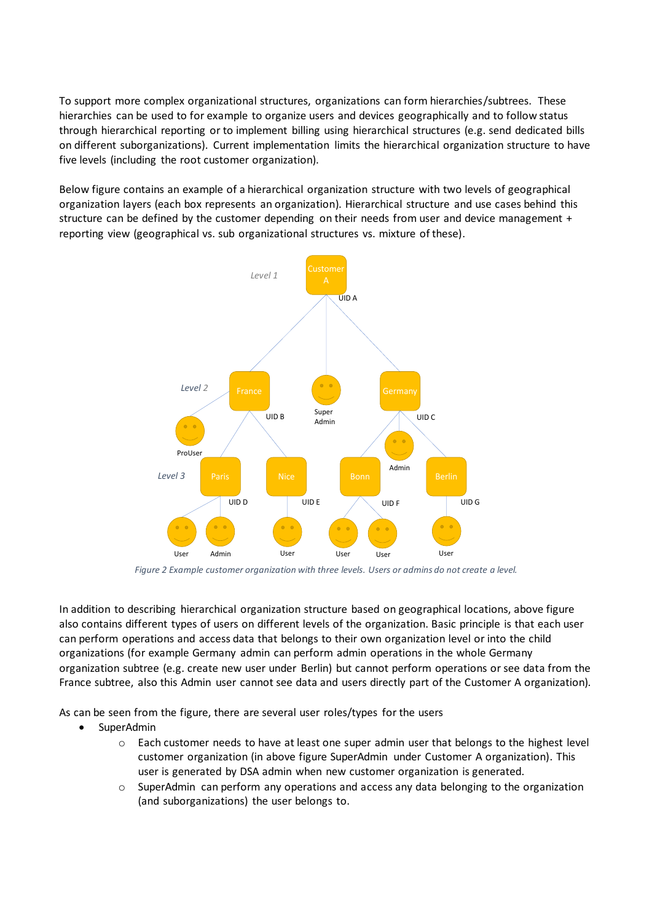To support more complex organizational structures, organizations can form hierarchies/subtrees. These hierarchies can be used to for example to organize users and devices geographically and to follow status through hierarchical reporting or to implement billing using hierarchical structures (e.g. send dedicated bills on different suborganizations). Current implementation limits the hierarchical organization structure to have five levels (including the root customer organization).

Below figure contains an example of a hierarchical organization structure with two levels of geographical organization layers (each box represents an organization). Hierarchical structure and use cases behind this structure can be defined by the customer depending on their needs from user and device management + reporting view (geographical vs. sub organizational structures vs. mixture of these).



*Figure 2 Example customer organization with three levels. Users or admins do not create a level.*

In addition to describing hierarchical organization structure based on geographical locations, above figure also contains different types of users on different levels of the organization. Basic principle is that each user can perform operations and access data that belongs to their own organization level or into the child organizations (for example Germany admin can perform admin operations in the whole Germany organization subtree (e.g. create new user under Berlin) but cannot perform operations or see data from the France subtree, also this Admin user cannot see data and users directly part of the Customer A organization).

As can be seen from the figure, there are several user roles/types for the users

- SuperAdmin
	- o Each customer needs to have at least one super admin user that belongs to the highest level customer organization (in above figure SuperAdmin under Customer A organization). This user is generated by DSA admin when new customer organization is generated.
	- $\circ$  SuperAdmin can perform any operations and access any data belonging to the organization (and suborganizations) the user belongs to.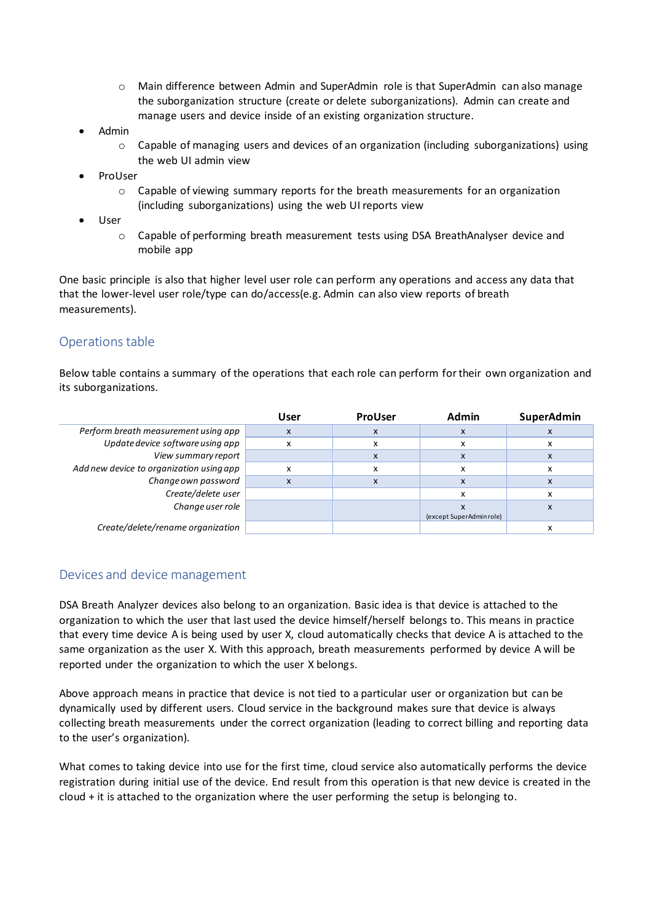- o Main difference between Admin and SuperAdmin role is that SuperAdmin can also manage the suborganization structure (create or delete suborganizations). Admin can create and manage users and device inside of an existing organization structure.
- Admin
	- o Capable of managing users and devices of an organization (including suborganizations) using the web UI admin view
- ProUser
	- $\circ$  Capable of viewing summary reports for the breath measurements for an organization (including suborganizations) using the web UI reports view
- User
	- o Capable of performing breath measurement tests using DSA BreathAnalyser device and mobile app

One basic principle is also that higher level user role can perform any operations and access any data that that the lower-level user role/type can do/access(e.g. Admin can also view reports of breath measurements).

## Operations table

Below table contains a summary of the operations that each role can perform for their own organization and its suborganizations.

|                                          | User | <b>ProUser</b> | <b>Admin</b>            | SuperAdmin |
|------------------------------------------|------|----------------|-------------------------|------------|
| Perform breath measurement using app     | X    | X              | X                       |            |
| Update device software using app         | x    | х              | x                       |            |
| View summary report                      |      | X              | X                       |            |
| Add new device to organization using app | x    | x              | x                       |            |
| Change own password                      | x    | X              | X                       |            |
| Create/delete user                       |      |                | ж                       |            |
| Change user role                         |      |                |                         |            |
|                                          |      |                | (except SuperAdminrole) |            |
| Create/delete/rename organization        |      |                |                         |            |

#### Devices and device management

DSA Breath Analyzer devices also belong to an organization. Basic idea is that device is attached to the organization to which the user that last used the device himself/herself belongs to. This means in practice that every time device A is being used by user X, cloud automatically checks that device A is attached to the same organization as the user X. With this approach, breath measurements performed by device A will be reported under the organization to which the user X belongs.

Above approach means in practice that device is not tied to a particular user or organization but can be dynamically used by different users. Cloud service in the background makes sure that device is always collecting breath measurements under the correct organization (leading to correct billing and reporting data to the user's organization).

What comes to taking device into use for the first time, cloud service also automatically performs the device registration during initial use of the device. End result from this operation is that new device is created in the cloud + it is attached to the organization where the user performing the setup is belonging to.